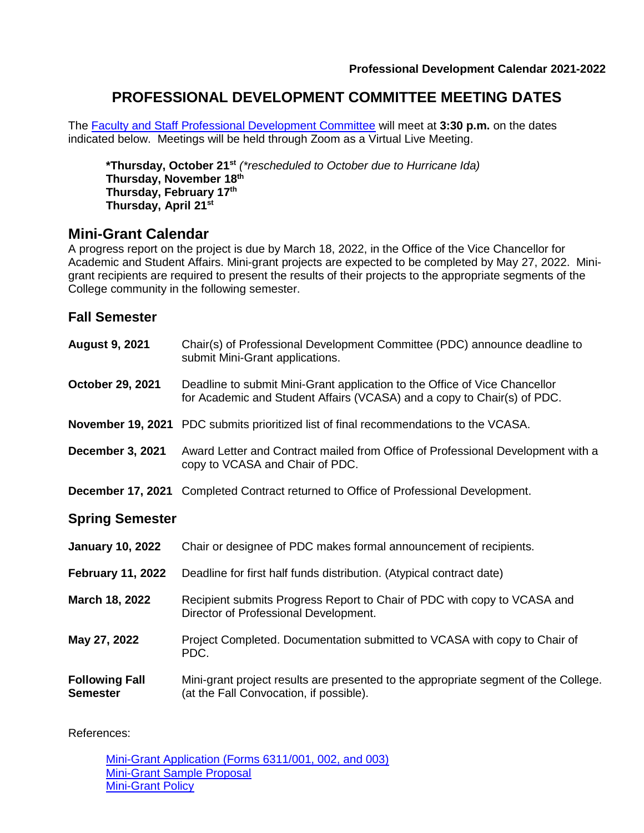## **PROFESSIONAL DEVELOPMENT COMMITTEE MEETING DATES**

The [Faculty and Staff Professional Development Committee](http://docushare3.dcc.edu/docushare/dsweb/Get/Document-134) will meet at **3:30 p.m.** on the dates indicated below. Meetings will be held through Zoom as a Virtual Live Meeting.

**\*Thursday, October 21st** *(\*rescheduled to October due to Hurricane Ida)* **Thursday, November 18 th Thursday, February 17 th Thursday, April 21st**

## **Mini-Grant Calendar**

A progress report on the project is due by March 18, 2022, in the Office of the Vice Chancellor for Academic and Student Affairs. Mini-grant projects are expected to be completed by May 27, 2022. Minigrant recipients are required to present the results of their projects to the appropriate segments of the College community in the following semester.

### **Fall Semester**

| <b>August 9, 2021</b>                    | Chair(s) of Professional Development Committee (PDC) announce deadline to<br>submit Mini-Grant applications.                                          |
|------------------------------------------|-------------------------------------------------------------------------------------------------------------------------------------------------------|
| October 29, 2021                         | Deadline to submit Mini-Grant application to the Office of Vice Chancellor<br>for Academic and Student Affairs (VCASA) and a copy to Chair(s) of PDC. |
|                                          | <b>November 19, 2021</b> PDC submits prioritized list of final recommendations to the VCASA.                                                          |
| December 3, 2021                         | Award Letter and Contract mailed from Office of Professional Development with a<br>copy to VCASA and Chair of PDC.                                    |
|                                          | December 17, 2021 Completed Contract returned to Office of Professional Development.                                                                  |
| <b>Spring Semester</b>                   |                                                                                                                                                       |
| <b>January 10, 2022</b>                  | Chair or designee of PDC makes formal announcement of recipients.                                                                                     |
| <b>February 11, 2022</b>                 | Deadline for first half funds distribution. (Atypical contract date)                                                                                  |
| March 18, 2022                           | Recipient submits Progress Report to Chair of PDC with copy to VCASA and<br>Director of Professional Development.                                     |
| May 27, 2022                             | Project Completed. Documentation submitted to VCASA with copy to Chair of<br>PDC.                                                                     |
| <b>Following Fall</b><br><b>Semester</b> | Mini-grant project results are presented to the appropriate segment of the College.<br>(at the Fall Convocation, if possible).                        |

References:

[Mini-Grant Application \(Forms 6311/001, 002, and 003\)](http://docushare3.dcc.edu/docushare/dsweb/Get/Document-3706/6311-001%2C+002%2C+and+003+Minigrant+Application.doc) [Mini-Grant Sample Proposal](http://docushare3.dcc.edu/docushare/dsweb/Get/Document-1177/M.A.L.E.S.%2520%2520Mini%2520Grant.doc) **[Mini-Grant Policy](http://docushare3.dcc.edu/docushare/dsweb/Get/Document-144/6311-1B.pdf)**